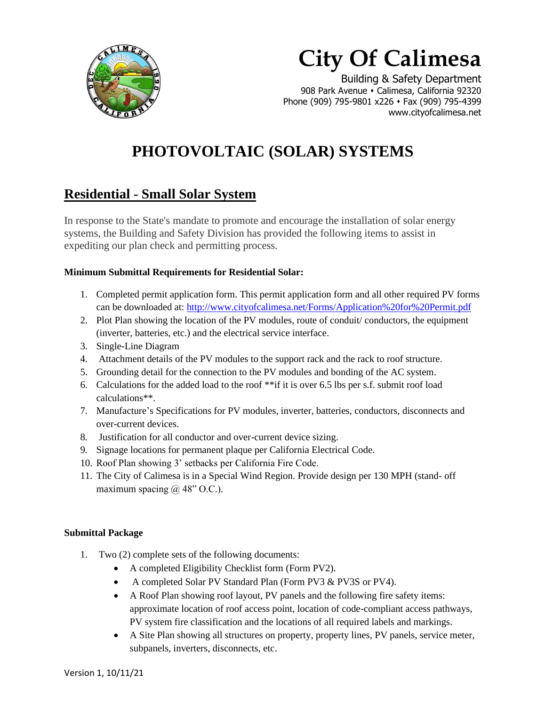

# **City Of Calimesa**

 Building & Safety Department 908 Park Avenue • Calimesa, California 92320 Phone (909) 795-9801 x226 • Fax (909) 795-4399 www.cityofcalimesa.net

## **PHOTOVOLTAIC (SOLAR) SYSTEMS**

### **Residential - Small Solar System**

In response to the State's mandate to promote and encourage the installation of solar energy systems, the Building and Safety Division has provided the following items to assist in expediting our plan check and permitting process.

#### **Minimum Submittal Requirements for Residential Solar:**

- 1. Completed permit application form. This permit application form and all other required PV forms can be downloaded at:<http://www.cityofcalimesa.net/Forms/Application%20for%20Permit.pdf>
- 2. Plot Plan showing the location of the PV modules, route of conduit/ conductors, the equipment (inverter, batteries, etc.) and the electrical service interface.
- 3. Single-Line Diagram
- 4. Attachment details of the PV modules to the support rack and the rack to roof structure.
- 5. Grounding detail for the connection to the PV modules and bonding of the AC system.
- 6. Calculations for the added load to the roof  $**$ if it is over 6.5 lbs per s.f. submit roof load calculations\*\*.
- 7. Manufacture's Specifications for PV modules, inverter, batteries, conductors, disconnects and over-current devices.
- 8. Justification for all conductor and over-current device sizing.
- 9. Signage locations for permanent plaque per California Electrical Code.
- 10. Roof Plan showing 3' setbacks per California Fire Code.
- 11. The City of Calimesa is in a Special Wind Region. Provide design per 130 MPH (stand- off maximum spacing  $\omega$  48" O.C.).

#### **Submittal Package**

- 1. Two (2) complete sets of the following documents:
	- A completed Eligibility Checklist form (Form PV2).
	- A completed Solar PV Standard Plan (Form PV3 & PV3S or PV4).
	- A Roof Plan showing roof layout, PV panels and the following fire safety items: approximate location of roof access point, location of code-compliant access pathways, PV system fire classification and the locations of all required labels and markings.
	- A Site Plan showing all structures on property, property lines, PV panels, service meter, subpanels, inverters, disconnects, etc.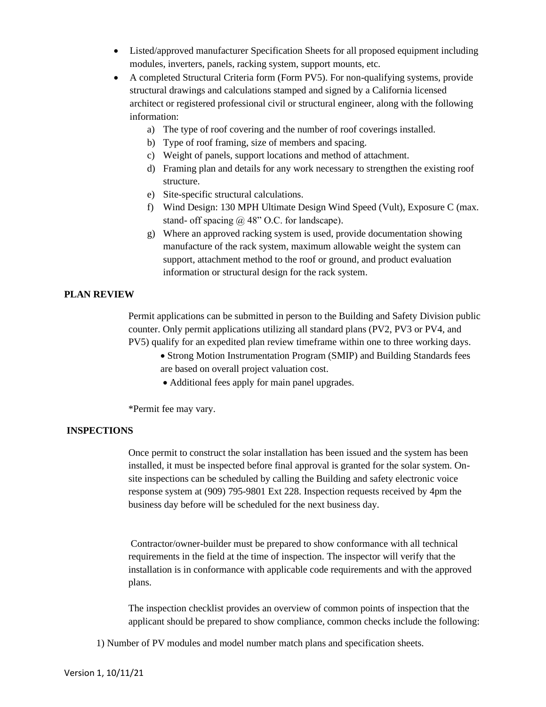- Listed/approved manufacturer Specification Sheets for all proposed equipment including modules, inverters, panels, racking system, support mounts, etc.
- A completed Structural Criteria form (Form PV5). For non-qualifying systems, provide structural drawings and calculations stamped and signed by a California licensed architect or registered professional civil or structural engineer, along with the following information:
	- a) The type of roof covering and the number of roof coverings installed.
	- b) Type of roof framing, size of members and spacing.
	- c) Weight of panels, support locations and method of attachment.
	- d) Framing plan and details for any work necessary to strengthen the existing roof structure.
	- e) Site-specific structural calculations.
	- f) Wind Design: 130 MPH Ultimate Design Wind Speed (Vult), Exposure C (max. stand- off spacing  $@$  48" O.C. for landscape).
	- g) Where an approved racking system is used, provide documentation showing manufacture of the rack system, maximum allowable weight the system can support, attachment method to the roof or ground, and product evaluation information or structural design for the rack system.

#### **PLAN REVIEW**

Permit applications can be submitted in person to the Building and Safety Division public counter. Only permit applications utilizing all standard plans (PV2, PV3 or PV4, and PV5) qualify for an expedited plan review timeframe within one to three working days.

- Strong Motion Instrumentation Program (SMIP) and Building Standards fees are based on overall project valuation cost.
- Additional fees apply for main panel upgrades.

\*Permit fee may vary.

#### **INSPECTIONS**

Once permit to construct the solar installation has been issued and the system has been installed, it must be inspected before final approval is granted for the solar system. Onsite inspections can be scheduled by calling the Building and safety electronic voice response system at (909) 795-9801 Ext 228. Inspection requests received by 4pm the business day before will be scheduled for the next business day.

Contractor/owner-builder must be prepared to show conformance with all technical requirements in the field at the time of inspection. The inspector will verify that the installation is in conformance with applicable code requirements and with the approved plans.

The inspection checklist provides an overview of common points of inspection that the applicant should be prepared to show compliance, common checks include the following:

1) Number of PV modules and model number match plans and specification sheets.